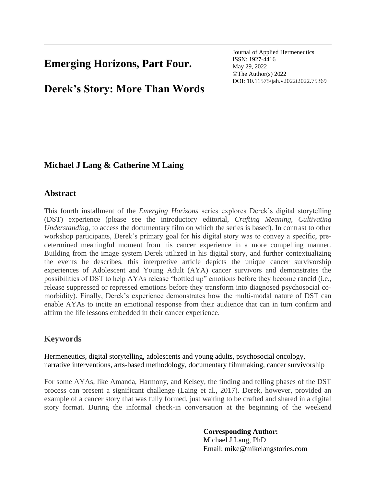# **Emerging Horizons, Part Four.**

Journal of Applied Hermeneutics ISSN: 1927-4416 May 29, 2022 ©The Author(s) 2022 DOI: 10.11575/jah.v2022i2022.75369

# **Derek's Story: More Than Words**

## **Michael J Lang & Catherine M Laing**

### **Abstract**

This fourth installment of the *Emerging Horizons* series explores Derek's digital storytelling (DST) experience (please see the introductory editorial, *Crafting Meaning, Cultivating Understanding,* to access the documentary film on which the series is based). In contrast to other workshop participants, Derek's primary goal for his digital story was to convey a specific, predetermined meaningful moment from his cancer experience in a more compelling manner. Building from the image system Derek utilized in his digital story, and further contextualizing the events he describes, this interpretive article depicts the unique cancer survivorship experiences of Adolescent and Young Adult (AYA) cancer survivors and demonstrates the possibilities of DST to help AYAs release "bottled up" emotions before they become rancid (i.e., release suppressed or repressed emotions before they transform into diagnosed psychosocial comorbidity). Finally, Derek's experience demonstrates how the multi-modal nature of DST can enable AYAs to incite an emotional response from their audience that can in turn confirm and affirm the life lessons embedded in their cancer experience.

## **Keywords**

Hermeneutics, digital storytelling, adolescents and young adults, psychosocial oncology, narrative interventions, arts-based methodology, documentary filmmaking, cancer survivorship

For some AYAs, like Amanda, Harmony, and Kelsey, the finding and telling phases of the DST process can present a significant challenge (Laing et al., 2017). Derek, however, provided an example of a cancer story that was fully formed, just waiting to be crafted and shared in a digital story format. During the informal check-in conversation at the beginning of the weekend

## **Corresponding Author:**

Michael J Lang, PhD Email: mike@mikelangstories.com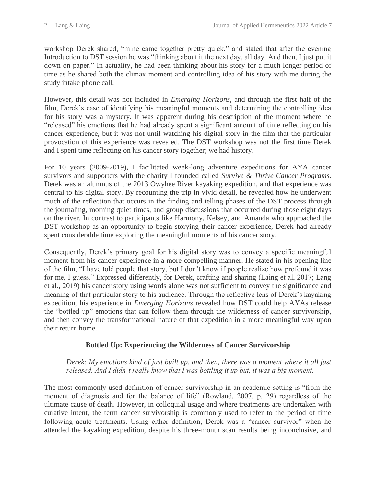workshop Derek shared, "mine came together pretty quick," and stated that after the evening Introduction to DST session he was "thinking about it the next day, all day. And then, I just put it down on paper." In actuality, he had been thinking about his story for a much longer period of time as he shared both the climax moment and controlling idea of his story with me during the study intake phone call.

However, this detail was not included in *Emerging Horizons*, and through the first half of the film, Derek's ease of identifying his meaningful moments and determining the controlling idea for his story was a mystery. It was apparent during his description of the moment where he "released" his emotions that he had already spent a significant amount of time reflecting on his cancer experience, but it was not until watching his digital story in the film that the particular provocation of this experience was revealed. The DST workshop was not the first time Derek and I spent time reflecting on his cancer story together; we had history.

For 10 years (2009-2019), I facilitated week-long adventure expeditions for AYA cancer survivors and supporters with the charity I founded called *Survive & Thrive Cancer Programs.* Derek was an alumnus of the 2013 Owyhee River kayaking expedition, and that experience was central to his digital story. By recounting the trip in vivid detail, he revealed how he underwent much of the reflection that occurs in the finding and telling phases of the DST process through the journaling, morning quiet times, and group discussions that occurred during those eight days on the river. In contrast to participants like Harmony, Kelsey, and Amanda who approached the DST workshop as an opportunity to begin storying their cancer experience, Derek had already spent considerable time exploring the meaningful moments of his cancer story.

Consequently, Derek's primary goal for his digital story was to convey a specific meaningful moment from his cancer experience in a more compelling manner. He stated in his opening line of the film, "I have told people that story, but I don't know if people realize how profound it was for me, I guess." Expressed differently, for Derek, crafting and sharing (Laing et al, 2017; Lang et al., 2019) his cancer story using words alone was not sufficient to convey the significance and meaning of that particular story to his audience. Through the reflective lens of Derek's kayaking expedition, his experience in *Emerging Horizons* revealed how DST could help AYAs release the "bottled up" emotions that can follow them through the wilderness of cancer survivorship, and then convey the transformational nature of that expedition in a more meaningful way upon their return home.

### **Bottled Up: Experiencing the Wilderness of Cancer Survivorship**

*Derek: My emotions kind of just built up, and then, there was a moment where it all just released. And I didn't really know that I was bottling it up but, it was a big moment.*

The most commonly used definition of cancer survivorship in an academic setting is "from the moment of diagnosis and for the balance of life" (Rowland, 2007, p. 29) regardless of the ultimate cause of death. However, in colloquial usage and where treatments are undertaken with curative intent, the term cancer survivorship is commonly used to refer to the period of time following acute treatments. Using either definition, Derek was a "cancer survivor" when he attended the kayaking expedition, despite his three-month scan results being inconclusive, and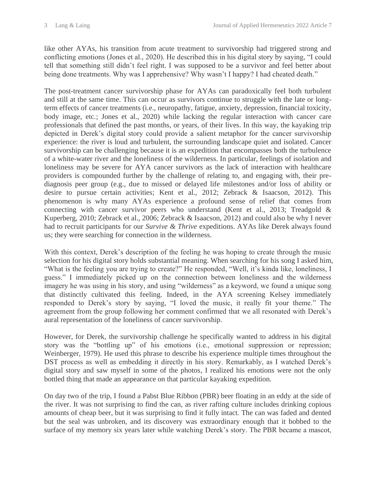like other AYAs, his transition from acute treatment to survivorship had triggered strong and conflicting emotions (Jones et al., 2020). He described this in his digital story by saying, "I could tell that something still didn't feel right. I was supposed to be a survivor and feel better about being done treatments. Why was I apprehensive? Why wasn't I happy? I had cheated death."

The post-treatment cancer survivorship phase for AYAs can paradoxically feel both turbulent and still at the same time. This can occur as survivors continue to struggle with the late or longterm effects of cancer treatments (i.e., neuropathy, fatigue, anxiety, depression, financial toxicity, body image, etc.; Jones et al., 2020) while lacking the regular interaction with cancer care professionals that defined the past months, or years, of their lives. In this way, the kayaking trip depicted in Derek's digital story could provide a salient metaphor for the cancer survivorship experience: the river is loud and turbulent, the surrounding landscape quiet and isolated. Cancer survivorship can be challenging because it is an expedition that encompasses both the turbulence of a white-water river and the loneliness of the wilderness. In particular, feelings of isolation and loneliness may be severe for AYA cancer survivors as the lack of interaction with healthcare providers is compounded further by the challenge of relating to, and engaging with, their prediagnosis peer group (e.g., due to missed or delayed life milestones and/or loss of ability or desire to pursue certain activities; Kent et al., 2012; Zebrack & Isaacson, 2012). This phenomenon is why many AYAs experience a profound sense of relief that comes from connecting with cancer survivor peers who understand (Kent et al., 2013; Treadgold & Kuperberg, 2010; Zebrack et al., 2006; Zebrack & Isaacson, 2012) and could also be why I never had to recruit participants for our *Survive & Thrive* expeditions. AYAs like Derek always found us; they were searching for connection in the wilderness.

With this context, Derek's description of the feeling he was hoping to create through the music selection for his digital story holds substantial meaning. When searching for his song I asked him, "What is the feeling you are trying to create?" He responded, "Well, it's kinda like, loneliness, I guess." I immediately picked up on the connection between loneliness and the wilderness imagery he was using in his story, and using "wilderness" as a keyword, we found a unique song that distinctly cultivated this feeling. Indeed, in the AYA screening Kelsey immediately responded to Derek's story by saying, "I loved the music, it really fit your theme." The agreement from the group following her comment confirmed that we all resonated with Derek's aural representation of the loneliness of cancer survivorship.

However, for Derek, the survivorship challenge he specifically wanted to address in his digital story was the "bottling up" of his emotions (i.e., emotional suppression or repression; Weinberger, 1979). He used this phrase to describe his experience multiple times throughout the DST process as well as embedding it directly in his story. Remarkably, as I watched Derek's digital story and saw myself in some of the photos, I realized his emotions were not the only bottled thing that made an appearance on that particular kayaking expedition.

On day two of the trip, I found a Pabst Blue Ribbon (PBR) beer floating in an eddy at the side of the river. It was not surprising to find the can, as river rafting culture includes drinking copious amounts of cheap beer, but it was surprising to find it fully intact. The can was faded and dented but the seal was unbroken, and its discovery was extraordinary enough that it bobbed to the surface of my memory six years later while watching Derek's story. The PBR became a mascot,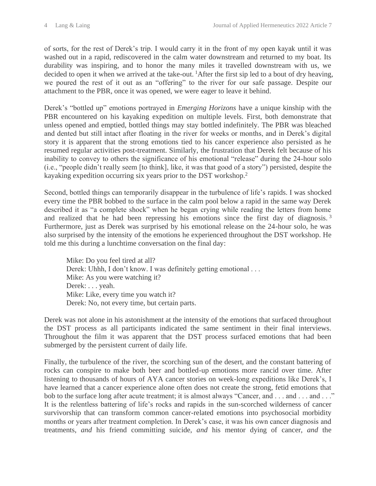of sorts, for the rest of Derek's trip. I would carry it in the front of my open kayak until it was washed out in a rapid, rediscovered in the calm water downstream and returned to my boat. Its durability was inspiring, and to honor the many miles it travelled downstream with us, we decided to open it when we arrived at the take-out. <sup>1</sup>After the first sip led to a bout of dry heaving, we poured the rest of it out as an "offering" to the river for our safe passage. Despite our attachment to the PBR, once it was opened, we were eager to leave it behind.

Derek's "bottled up" emotions portrayed in *Emerging Horizons* have a unique kinship with the PBR encountered on his kayaking expedition on multiple levels. First, both demonstrate that unless opened and emptied, bottled things may stay bottled indefinitely. The PBR was bleached and dented but still intact after floating in the river for weeks or months, and in Derek's digital story it is apparent that the strong emotions tied to his cancer experience also persisted as he resumed regular activities post-treatment. Similarly, the frustration that Derek felt because of his inability to convey to others the significance of his emotional "release" during the 24-hour solo (i.e., "people didn't really seem [to think], like, it was that good of a story") persisted, despite the kayaking expedition occurring six years prior to the DST workshop.<sup>2</sup>

Second, bottled things can temporarily disappear in the turbulence of life's rapids. I was shocked every time the PBR bobbed to the surface in the calm pool below a rapid in the same way Derek described it as "a complete shock" when he began crying while reading the letters from home and realized that he had been repressing his emotions since the first day of diagnosis.<sup>3</sup> Furthermore, just as Derek was surprised by his emotional release on the 24-hour solo, he was also surprised by the intensity of the emotions he experienced throughout the DST workshop. He told me this during a lunchtime conversation on the final day:

Mike: Do you feel tired at all? Derek: Uhhh, I don't know. I was definitely getting emotional . . . Mike: As you were watching it? Derek: . . . yeah. Mike: Like, every time you watch it? Derek: No, not every time, but certain parts.

Derek was not alone in his astonishment at the intensity of the emotions that surfaced throughout the DST process as all participants indicated the same sentiment in their final interviews. Throughout the film it was apparent that the DST process surfaced emotions that had been submerged by the persistent current of daily life.

Finally, the turbulence of the river, the scorching sun of the desert, and the constant battering of rocks can conspire to make both beer and bottled-up emotions more rancid over time. After listening to thousands of hours of AYA cancer stories on week-long expeditions like Derek's, I have learned that a cancer experience alone often does not create the strong, fetid emotions that bob to the surface long after acute treatment; it is almost always "Cancer, and . . . and . . . and . . ." It is the relentless battering of life's rocks and rapids in the sun-scorched wilderness of cancer survivorship that can transform common cancer-related emotions into psychosocial morbidity months or years after treatment completion. In Derek's case, it was his own cancer diagnosis and treatments, *and* his friend committing suicide, *and* his mentor dying of cancer, *and* the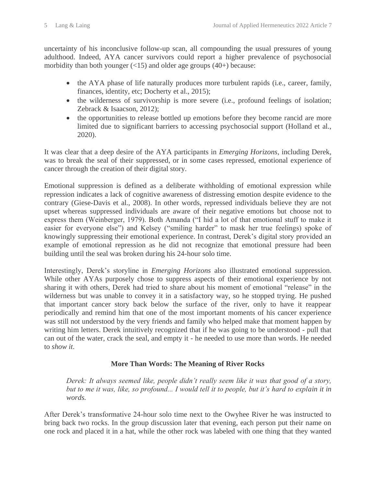uncertainty of his inconclusive follow-up scan, all compounding the usual pressures of young adulthood. Indeed, AYA cancer survivors could report a higher prevalence of psychosocial morbidity than both younger  $\left( \langle 15 \rangle \right)$  and older age groups  $\left( 40 + \right)$  because:

- the AYA phase of life naturally produces more turbulent rapids (i.e., career, family, finances, identity, etc; Docherty et al., 2015);
- the wilderness of survivorship is more severe (i.e., profound feelings of isolation; Zebrack & Isaacson, 2012);
- the opportunities to release bottled up emotions before they become rancid are more limited due to significant barriers to accessing psychosocial support (Holland et al., 2020).

It was clear that a deep desire of the AYA participants in *Emerging Horizons,* including Derek*,* was to break the seal of their suppressed, or in some cases repressed, emotional experience of cancer through the creation of their digital story.

Emotional suppression is defined as a deliberate withholding of emotional expression while repression indicates a lack of cognitive awareness of distressing emotion despite evidence to the contrary (Giese-Davis et al., 2008). In other words, repressed individuals believe they are not upset whereas suppressed individuals are aware of their negative emotions but choose not to express them (Weinberger, 1979). Both Amanda ("I hid a lot of that emotional stuff to make it easier for everyone else") and Kelsey ("smiling harder" to mask her true feelings) spoke of knowingly suppressing their emotional experience. In contrast, Derek's digital story provided an example of emotional repression as he did not recognize that emotional pressure had been building until the seal was broken during his 24-hour solo time.

Interestingly, Derek's storyline in *Emerging Horizons* also illustrated emotional suppression. While other AYAs purposely chose to suppress aspects of their emotional experience by not sharing it with others, Derek had tried to share about his moment of emotional "release" in the wilderness but was unable to convey it in a satisfactory way, so he stopped trying. He pushed that important cancer story back below the surface of the river, only to have it reappear periodically and remind him that one of the most important moments of his cancer experience was still not understood by the very friends and family who helped make that moment happen by writing him letters. Derek intuitively recognized that if he was going to be understood - pull that can out of the water, crack the seal, and empty it - he needed to use more than words. He needed to *show it*.

#### **More Than Words: The Meaning of River Rocks**

*Derek: It always seemed like, people didn't really seem like it was that good of a story,*  but to me it was, like, so profound... I would tell it to people, but it's hard to explain it in *words.*

After Derek's transformative 24-hour solo time next to the Owyhee River he was instructed to bring back two rocks. In the group discussion later that evening, each person put their name on one rock and placed it in a hat, while the other rock was labeled with one thing that they wanted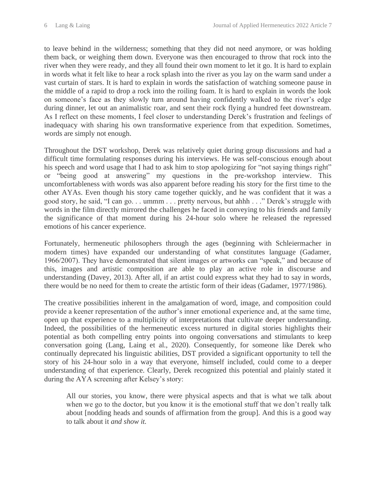to leave behind in the wilderness; something that they did not need anymore, or was holding them back, or weighing them down. Everyone was then encouraged to throw that rock into the river when they were ready, and they all found their own moment to let it go. It is hard to explain in words what it felt like to hear a rock splash into the river as you lay on the warm sand under a vast curtain of stars. It is hard to explain in words the satisfaction of watching someone pause in the middle of a rapid to drop a rock into the roiling foam. It is hard to explain in words the look on someone's face as they slowly turn around having confidently walked to the river's edge during dinner, let out an animalistic roar, and sent their rock flying a hundred feet downstream. As I reflect on these moments, I feel closer to understanding Derek's frustration and feelings of inadequacy with sharing his own transformative experience from that expedition. Sometimes, words are simply not enough.

Throughout the DST workshop, Derek was relatively quiet during group discussions and had a difficult time formulating responses during his interviews. He was self-conscious enough about his speech and word usage that I had to ask him to stop apologizing for "not saying things right" or "being good at answering" my questions in the pre-workshop interview. This uncomfortableness with words was also apparent before reading his story for the first time to the other AYAs. Even though his story came together quickly, and he was confident that it was a good story, he said, "I can go. . . ummm . . . pretty nervous, but ahhh . . ." Derek's struggle with words in the film directly mirrored the challenges he faced in conveying to his friends and family the significance of that moment during his 24-hour solo where he released the repressed emotions of his cancer experience.

Fortunately, hermeneutic philosophers through the ages (beginning with Schleiermacher in modern times) have expanded our understanding of what constitutes language (Gadamer, 1966/2007). They have demonstrated that silent images or artworks can "speak," and because of this, images and artistic composition are able to play an active role in discourse and understanding (Davey, 2013). After all, if an artist could express what they had to say in words, there would be no need for them to create the artistic form of their ideas (Gadamer, 1977/1986).

The creative possibilities inherent in the amalgamation of word, image, and composition could provide a keener representation of the author's inner emotional experience and, at the same time, open up that experience to a multiplicity of interpretations that cultivate deeper understanding. Indeed, the possibilities of the hermeneutic excess nurtured in digital stories highlights their potential as both compelling entry points into ongoing conversations and stimulants to keep conversation going (Lang, Laing et al., 2020). Consequently, for someone like Derek who continually deprecated his linguistic abilities, DST provided a significant opportunity to tell the story of his 24-hour solo in a way that everyone, himself included, could come to a deeper understanding of that experience. Clearly, Derek recognized this potential and plainly stated it during the AYA screening after Kelsey's story:

All our stories, you know, there were physical aspects and that is what we talk about when we go to the doctor, but you know it is the emotional stuff that we don't really talk about [nodding heads and sounds of affirmation from the group]. And this is a good way to talk about it *and show it.*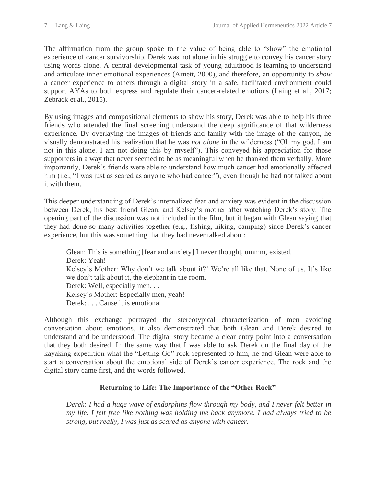The affirmation from the group spoke to the value of being able to "show" the emotional experience of cancer survivorship. Derek was not alone in his struggle to convey his cancer story using words alone. A central developmental task of young adulthood is learning to understand and articulate inner emotional experiences (Arnett, 2000), and therefore, an opportunity to *show* a cancer experience to others through a digital story in a safe, facilitated environment could support AYAs to both express and regulate their cancer-related emotions (Laing et al., 2017; Zebrack et al., 2015).

By using images and compositional elements to show his story, Derek was able to help his three friends who attended the final screening understand the deep significance of that wilderness experience. By overlaying the images of friends and family with the image of the canyon, he visually demonstrated his realization that he was *not alone* in the wilderness ("Oh my god, I am not in this alone. I am not doing this by myself"). This conveyed his appreciation for those supporters in a way that never seemed to be as meaningful when he thanked them verbally. More importantly, Derek's friends were able to understand how much cancer had emotionally affected him (i.e., "I was just as scared as anyone who had cancer"), even though he had not talked about it with them.

This deeper understanding of Derek's internalized fear and anxiety was evident in the discussion between Derek, his best friend Glean, and Kelsey's mother after watching Derek's story. The opening part of the discussion was not included in the film, but it began with Glean saying that they had done so many activities together (e.g., fishing, hiking, camping) since Derek's cancer experience, but this was something that they had never talked about:

Glean: This is something [fear and anxiety] I never thought, ummm, existed. Derek: Yeah! Kelsey's Mother: Why don't we talk about it?! We're all like that. None of us. It's like we don't talk about it, the elephant in the room. Derek: Well, especially men. . . Kelsey's Mother: Especially men, yeah! Derek: . . . Cause it is emotional.

Although this exchange portrayed the stereotypical characterization of men avoiding conversation about emotions, it also demonstrated that both Glean and Derek desired to understand and be understood. The digital story became a clear entry point into a conversation that they both desired. In the same way that I was able to ask Derek on the final day of the kayaking expedition what the "Letting Go" rock represented to him, he and Glean were able to start a conversation about the emotional side of Derek's cancer experience. The rock and the digital story came first, and the words followed.

#### **Returning to Life: The Importance of the "Other Rock"**

*Derek: I had a huge wave of endorphins flow through my body, and I never felt better in my life. I felt free like nothing was holding me back anymore. I had always tried to be strong, but really, I was just as scared as anyone with cancer.*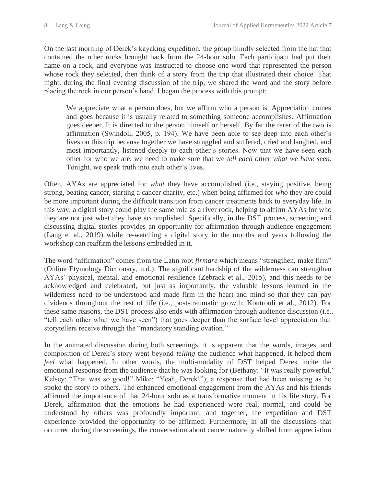On the last morning of Derek's kayaking expedition, the group blindly selected from the hat that contained the other rocks brought back from the 24-hour solo. Each participant had put their name on a rock, and everyone was instructed to choose one word that represented the person whose rock they selected, then think of a story from the trip that illustrated their choice. That night, during the final evening discussion of the trip, we shared the word and the story before placing the rock in our person's hand. I began the process with this prompt:

We appreciate what a person does, but we affirm who a person is. Appreciation comes and goes because it is usually related to something someone accomplishes. Affirmation goes deeper. It is directed to the person himself or herself. By far the rarer of the two is affirmation (Swindoll, 2005, p. 194). We have been able to see deep into each other's lives on this trip because together we have struggled and suffered, cried and laughed, and most importantly, listened deeply to each other's stories. Now that we have seen each other for who we are, we need to make sure that we *tell each other what we have seen.* Tonight, we speak truth into each other's lives.

Often, AYAs are appreciated for *what* they have accomplished (i.e., staying positive, being strong, beating cancer, starting a cancer charity, etc.) when being affirmed for *who* they are could be more important during the difficult transition from cancer treatments back to everyday life. In this way, a digital story could play the same role as a river rock, helping to affirm AYAs for who they are not just what they have accomplished. Specifically, in the DST process, screening and discussing digital stories provides an opportunity for affirmation through audience engagement (Lang et al., 2019) while re-watching a digital story in the months and years following the workshop can reaffirm the lessons embedded in it.

The word "affirmation" comes from the Latin root *firmare* which means "strengthen, make firm" (Online Etymology Dictionary, n.d.). The significant hardship of the wilderness can strengthen AYAs' physical, mental, and emotional resilience (Zebrack et al., 2015), and this needs to be acknowledged and celebrated, but just as importantly, the valuable lessons learned in the wilderness need to be understood and made firm in the heart and mind so that they can pay dividends throughout the rest of life (i.e., post-traumatic growth; Koutrouli et al., 2012). For these same reasons, the DST process also ends with affirmation through audience discussion (i.e., "tell each other what we have seen") that goes deeper than the surface level appreciation that storytellers receive through the "mandatory standing ovation."

In the animated discussion during both screenings, it is apparent that the words, images, and composition of Derek's story went beyond *telling* the audience what happened, it helped them *feel* what happened. In other words, the multi-modality of DST helped Derek incite the emotional response from the audience that he was looking for (Bethany: "It was really powerful." Kelsey: "That was so good!" Mike: "Yeah, Derek!"); a response that had been missing as he spoke the story to others. The enhanced emotional engagement from the AYAs and his friends affirmed the importance of that 24-hour solo as a transformative moment in his life story. For Derek, affirmation that the emotions he had experienced were real, normal, and could be understood by others was profoundly important, and together, the expedition and DST experience provided the opportunity to be affirmed. Furthermore, in all the discussions that occurred during the screenings, the conversation about cancer naturally shifted from appreciation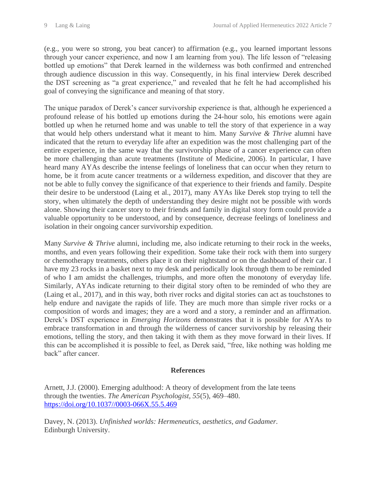(e.g., you were so strong, you beat cancer) to affirmation (e.g., you learned important lessons through your cancer experience, and now I am learning from you). The life lesson of "releasing bottled up emotions" that Derek learned in the wilderness was both confirmed and entrenched through audience discussion in this way. Consequently, in his final interview Derek described the DST screening as "a great experience," and revealed that he felt he had accomplished his goal of conveying the significance and meaning of that story.

The unique paradox of Derek's cancer survivorship experience is that, although he experienced a profound release of his bottled up emotions during the 24-hour solo, his emotions were again bottled up when he returned home and was unable to tell the story of that experience in a way that would help others understand what it meant to him. Many *Survive & Thrive* alumni have indicated that the return to everyday life after an expedition was the most challenging part of the entire experience, in the same way that the survivorship phase of a cancer experience can often be more challenging than acute treatments (Institute of Medicine, 2006). In particular, I have heard many AYAs describe the intense feelings of loneliness that can occur when they return to home, be it from acute cancer treatments or a wilderness expedition, and discover that they are not be able to fully convey the significance of that experience to their friends and family. Despite their desire to be understood (Laing et al., 2017), many AYAs like Derek stop trying to tell the story, when ultimately the depth of understanding they desire might not be possible with words alone. Showing their cancer story to their friends and family in digital story form could provide a valuable opportunity to be understood, and by consequence, decrease feelings of loneliness and isolation in their ongoing cancer survivorship expedition.

Many *Survive & Thrive* alumni, including me, also indicate returning to their rock in the weeks, months, and even years following their expedition. Some take their rock with them into surgery or chemotherapy treatments, others place it on their nightstand or on the dashboard of their car. I have my 23 rocks in a basket next to my desk and periodically look through them to be reminded of who I am amidst the challenges, triumphs, and more often the monotony of everyday life. Similarly, AYAs indicate returning to their digital story often to be reminded of who they are (Laing et al., 2017), and in this way, both river rocks and digital stories can act as touchstones to help endure and navigate the rapids of life. They are much more than simple river rocks or a composition of words and images; they are a word and a story, a reminder and an affirmation. Derek's DST experience in *Emerging Horizons* demonstrates that it is possible for AYAs to embrace transformation in and through the wilderness of cancer survivorship by releasing their emotions, telling the story, and then taking it with them as they move forward in their lives. If this can be accomplished it is possible to feel, as Derek said, "free, like nothing was holding me back" after cancer.

#### **References**

Arnett, J.J. (2000). Emerging adulthood: A theory of development from the late teens through the twenties. *The American Psychologist, 55*(5), 469–480. [https://doi.org/10.1037//0003-066X.55.5.469](https://doi.org/10.1037/0003-066X.55.5.469)

Davey, N. (2013). *Unfinished worlds: Hermeneutics, aesthetics, and Gadamer.* Edinburgh University.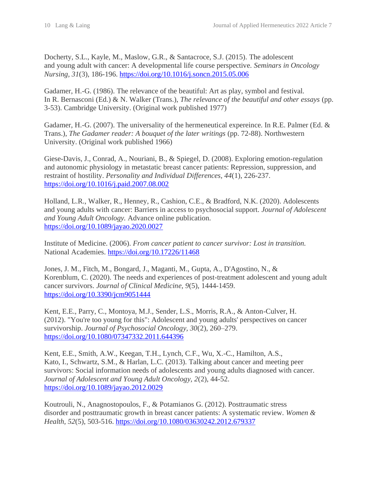Docherty, S.L., Kayle, M., Maslow, G.R., & Santacroce, S.J. (2015). The adolescent and young adult with cancer: A developmental life course perspective. *Seminars in Oncology Nursing, 31*(3), 186-196.<https://doi.org/10.1016/j.soncn.2015.05.006>

Gadamer, H.-G. (1986). The relevance of the beautiful: Art as play, symbol and festival. In R. Bernasconi (Ed.) & N. Walker (Trans.), *The relevance of the beautiful and other essays* (pp. 3-53). Cambridge University. (Original work published 1977)

Gadamer, H.-G. (2007). The universality of the hermeneutical expereince. In R.E. Palmer (Ed. & Trans.), *The Gadamer reader: A bouquet of the later writings* (pp. 72-88). Northwestern University. (Original work published 1966)

Giese-Davis, J., Conrad, A., Nouriani, B., & Spiegel, D. (2008). Exploring emotion-regulation and autonomic physiology in metastatic breast cancer patients: Repression, suppression, and restraint of hostility. *Personality and Individual Differences, 44*(1), 226-237. <https://doi.org/10.1016/j.paid.2007.08.002>

Holland, L.R., Walker, R., Henney, R., Cashion, C.E., & Bradford, N.K. (2020). Adolescents and young adults with cancer: Barriers in access to psychosocial support. *Journal of Adolescent and Young Adult Oncology.* Advance online publication. <https://doi.org/10.1089/jayao.2020.0027>

Institute of Medicine. (2006). *From cancer patient to cancer survivor: Lost in transition.* National Academies.<https://doi.org/10.17226/11468>

Jones, J. M., Fitch, M., Bongard, J., Maganti, M., Gupta, A., D'Agostino, N., & Korenblum, C. (2020). The needs and experiences of post-treatment adolescent and young adult cancer survivors. *Journal of Clinical Medicine, 9*(5), 1444-1459. <https://doi.org/10.3390/jcm9051444>

Kent, E.E., Parry, C., Montoya, M.J., Sender, L.S., Morris, R.A., & Anton-Culver, H. (2012). "You're too young for this": Adolescent and young adults' perspectives on cancer survivorship. *Journal of Psychosocial Oncology, 30*(2), 260–279. <https://doi.org/10.1080/07347332.2011.644396>

Kent, E.E., Smith, A.W., Keegan, T.H., Lynch, C.F., Wu, X.-C., Hamilton, A.S., Kato, I., Schwartz, S.M., & Harlan, L.C. (2013). Talking about cancer and meeting peer survivors: Social information needs of adolescents and young adults diagnosed with cancer. *Journal of Adolescent and Young Adult Oncology, 2*(2), 44-52. <https://doi.org/10.1089/jayao.2012.0029>

Koutrouli, N., Anagnostopoulos, F., & Potamianos G. (2012). Posttraumatic stress disorder and posttraumatic growth in breast cancer patients: A systematic review. *Women & Health, 52*(5), 503-516.<https://doi.org/10.1080/03630242.2012.679337>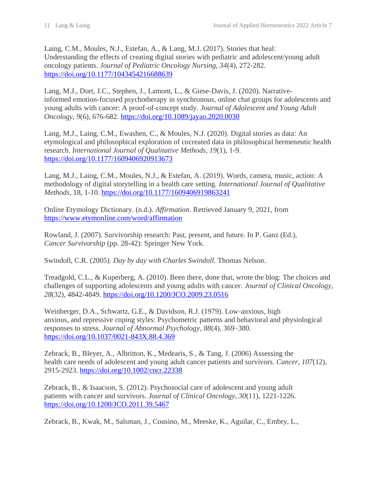Laing, C.M., Moules, N.J., Estefan, A., & Lang, M.J. (2017). Stories that heal: Understanding the effects of creating digital stories with pediatric and adolescent/young adult oncology patients. *Journal of Pediatric Oncology Nursing, 34*(4), 272-282. <https://doi.org/10.1177/1043454216688639>

Lang, M.J., Dort, J.C., Stephen, J., Lamont, L., & Giese-Davis, J. (2020). Narrativeinformed emotion-focused psychotherapy in synchronous, online chat groups for adolescents and young adults with cancer: A proof-of-concept study. *Journal of Adolescent and Young Adult Oncology, 9*(6), 676-682*.* <https://doi.org/10.1089/jayao.2020.0030>

Lang, M.J., Laing, C.M., Ewashen, C., & Moules, N.J. (2020). Digital stories as data: An etymological and philosophical exploration of cocreated data in philosophical hermeneutic health research. *International Journal of Qualitative Methods, 19*(1), 1-9. <https://doi.org/10.1177/1609406920913673>

Lang, M.J., Laing, C.M., Moules, N.J., & Estefan, A. (2019). Words, camera, music, action: A methodology of digital storytelling in a health care setting. *International Journal of Qualitative Methods,* 18, 1-10.<https://doi.org/10.1177/1609406919863241>

Online Etymology Dictionary. (n.d.). *Affirmation*. Retrieved January 9, 2021, from <https://www.etymonline.com/word/affirmation>

Rowland, J. (2007). Survivorship research: Past, present, and future. In P. Ganz (Ed.), *Cancer Survivorship* (pp. 28-42): Springer New York.

Swindoll, C.R. (2005). *Day by day with Charles Swindoll.* Thomas Nelson.

Treadgold, C.L., & Kuperberg, A. (2010). Been there, done that, wrote the blog: The choices and challenges of supporting adolescents and young adults with cancer. *Journal of Clinical Oncology, 28*(32), 4842-4849.<https://doi.org/10.1200/JCO.2009.23.0516>

Weinberger, D.A., Schwartz, G.E., & Davidson, R.J. (1979). Low-anxious, high anxious, and repressive coping styles: Psychometric patterns and behavioral and physiological responses to stress. *Journal of Abnormal Psychology, 88*(4), 369–380. <https://doi.org/10.1037/0021-843X.88.4.369>

Zebrack, B., Bleyer, A., Albritton, K., Medearis, S., & Tang, J. (2006) Assessing the health care needs of adolescent and young adult cancer patients and survivors. *Cancer, 107*(12), 2915-2923.<https://doi.org/10.1002/cncr.22338>

Zebrack, B., & Isaacson, S. (2012). Psychosocial care of adolescent and young adult patients with cancer and survivors. *Journal of Clinical Oncology, 30*(11), 1221-1226. <https://doi.org/10.1200/JCO.2011.39.5467>

Zebrack, B., Kwak, M., Salsman, J., Cousino, M., Meeske, K., Aguilar, C., Embry, L.,